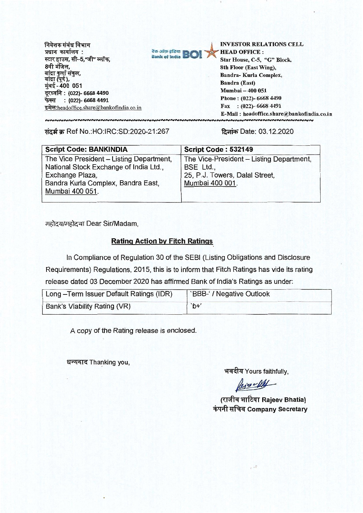निवेशक संबंध विभाग प्रधान कार्यालय: स्टार हाउस, सी–5,"जी" ब्लॉक. 8वी मंजिल, बांद्रा कुर्ला संकुल,<br>बांद्रा (पूर्व ), मुंबई-400 051 दूरध्वनि: (022)- 6668 4490 फेक्स: (022)- 6668 4491 इमेल: headoffice.share@bankofindia.co.in



**INVESTOR RELATIONS CELL HEAD OFFICE:** 

Star House, C-5, "G" Block, 8th Floor (East Wing), Bandra-Kurla Complex, **Bandra (East)** Mumbai - 400 051 Phone: (022)-6668 4490 Fax:  $(022)$ -6668 4491 E-Mail: headoffice.share@bankofindia.co.in **INNNNNNNNNNNNNN** 

संदर्भ क्र Ref No.:HO:IRC:SD:2020-21:267

दिनांक Date: 03.12.2020

| <b>Script Code: BANKINDIA</b>                                                                                                                                  | <b>Script Code: 532149</b>                                                                                 |
|----------------------------------------------------------------------------------------------------------------------------------------------------------------|------------------------------------------------------------------------------------------------------------|
| The Vice President - Listing Department,<br>National Stock Exchange of India Ltd.,<br>Exchange Plaza,<br>Bandra Kurla Complex, Bandra East,<br>Mumbai 400 051. | The Vice-President - Listing Department,<br>BSE Ltd.,<br>25, P.J. Towers, Dalal Street,<br>Mumbai 400 001. |

महोदय/महोदया Dear Sir/Madam.

#### **Rating Action by Fitch Ratings**

In Compliance of Regulation 30 of the SEBI (Listing Obligations and Disclosure Requirements) Regulations, 2015, this is to inform that Fitch Ratings has vide its rating release dated 03 December 2020 has affirmed Bank of India's Ratings as under:

| Long-Term Issuer Default Ratings (IDR) | `BBB-' / Negative Outlook |
|----------------------------------------|---------------------------|
| Bank's Viability Rating (VR)           | $b +$                     |

A copy of the Rating release is enclosed.

धन्यवाद Thanking you,

भवदीय Yours faithfully,

Perce MAL

(राजीव भाटिया Rajeev Bhatia) कंपनी सचिव Company Secretary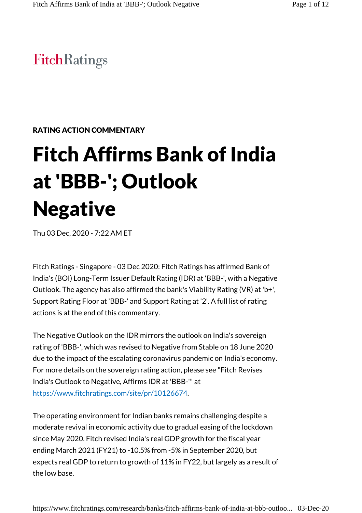# **FitchRatings**

### RATING ACTION COMMENTARY

# Fitch Affirms Bank of India at 'BBB-'; Outlook **Negative**

Thu 03 Dec, 2020 - 7:22 AM ET

Fitch Ratings - Singapore - 03 Dec 2020: Fitch Ratings has affirmed Bank of India's (BOI) Long-Term Issuer Default Rating (IDR) at 'BBB-', with a Negative Outlook. The agency has also affirmed the bank's Viability Rating (VR) at 'b+', Support Rating Floor at 'BBB-' and Support Rating at '2'. A full list of rating actions is at the end of this commentary.

The Negative Outlook on the IDR mirrors the outlook on India's sovereign rating of 'BBB-', which was revised to Negative from Stable on 18 June 2020 due to the impact of the escalating coronavirus pandemic on India's economy. For more details on the sovereign rating action, please see "Fitch Revises India's Outlook to Negative, Affirms IDR at 'BBB-'" at https://www.fitchratings.com/site/pr/10126674.

The operating environment for Indian banks remains challenging despite a moderate revival in economic activity due to gradual easing of the lockdown since May 2020. Fitch revised India's real GDP growth for the fiscal year ending March 2021 (FY21) to -10.5% from -5% in September 2020, but expects real GDP to return to growth of 11% in FY22, but largely as a result of the low base.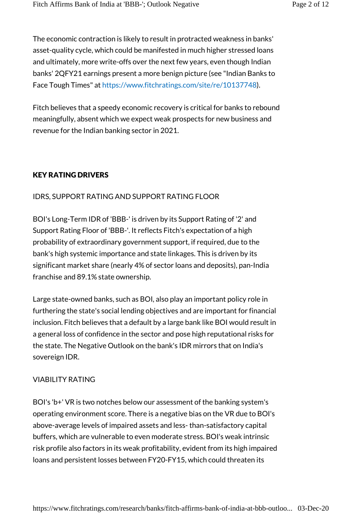The economic contraction is likely to result in protracted weakness in banks' asset-quality cycle, which could be manifested in much higher stressed loans and ultimately, more write-offs over the next few years, even though Indian banks' 2QFY21 earnings present a more benign picture (see "Indian Banks to Face Tough Times" at https://www.fitchratings.com/site/re/10137748).

Fitch believes that a speedy economic recovery is critical for banks to rebound meaningfully, absent which we expect weak prospects for new business and revenue for the Indian banking sector in 2021.

# KEY RATING DRIVERS

### IDRS, SUPPORT RATING AND SUPPORT RATING FLOOR

BOI's Long-Term IDR of 'BBB-' is driven by its Support Rating of '2' and Support Rating Floor of 'BBB-'. It reflects Fitch's expectation of a high probability of extraordinary government support, if required, due to the bank's high systemic importance and state linkages. This is driven by its significant market share (nearly 4% of sector loans and deposits), pan-India franchise and 89.1% state ownership.

Large state-owned banks, such as BOI, also play an important policy role in furthering the state's social lending objectives and are important for financial inclusion. Fitch believes that a default by a large bank like BOI would result in a general loss of confidence in the sector and pose high reputational risks for the state. The Negative Outlook on the bank's IDR mirrors that on India's sovereign IDR.

#### VIABILITY RATING

BOI's 'b+' VR is two notches below our assessment of the banking system's operating environment score. There is a negative bias on the VR due to BOI's above-average levels of impaired assets and less- than-satisfactory capital buffers, which are vulnerable to even moderate stress. BOI's weak intrinsic risk profile also factors in its weak profitability, evident from its high impaired loans and persistent losses between FY20-FY15, which could threaten its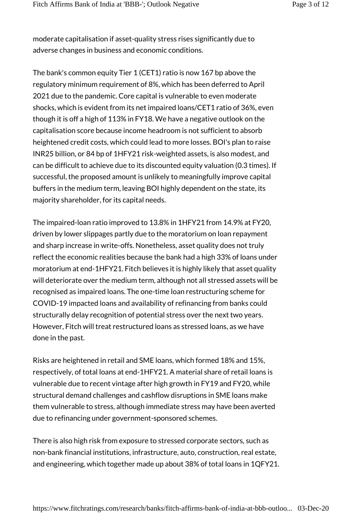moderate capitalisation if asset-quality stress rises significantly due to adverse changes in business and economic conditions.

The bank's common equity Tier 1 (CET1) ratio is now 167 bp above the regulatory minimum requirement of 8%, which has been deferred to April 2021 due to the pandemic. Core capital is vulnerable to even moderate shocks, which is evident from its net impaired loans/CET1 ratio of 36%, even though it is off a high of 113% in FY18. We have a negative outlook on the capitalisation score because income headroom is not sufficient to absorb heightened credit costs, which could lead to more losses. BOI's plan to raise INR25 billion, or 84 bp of 1HFY21 risk-weighted assets, is also modest, and can be difficult to achieve due to its discounted equity valuation (0.3 times). If successful, the proposed amount is unlikely to meaningfully improve capital buffers in the medium term, leaving BOI highly dependent on the state, its majority shareholder, for its capital needs.

The impaired-loan ratio improved to 13.8% in 1HFY21 from 14.9% at FY20, driven by lower slippages partly due to the moratorium on loan repayment and sharp increase in write-offs. Nonetheless, asset quality does not truly reflect the economic realities because the bank had a high 33% of loans under moratorium at end-1HFY21. Fitch believes it is highly likely that asset quality will deteriorate over the medium term, although not all stressed assets will be recognised as impaired loans. The one-time loan restructuring scheme for COVID-19 impacted loans and availability of refinancing from banks could structurally delay recognition of potential stress over the next two years. However, Fitch will treat restructured loans as stressed loans, as we have done in the past.

Risks are heightened in retail and SME loans, which formed 18% and 15%, respectively, of total loans at end-1HFY21. A material share of retail loans is vulnerable due to recent vintage after high growth in FY19 and FY20, while structural demand challenges and cashflow disruptions in SME loans make them vulnerable to stress, although immediate stress may have been averted due to refinancing under government-sponsored schemes.

There is also high risk from exposure to stressed corporate sectors, such as non-bank financial institutions, infrastructure, auto, construction, real estate, and engineering, which together made up about 38% of total loans in 1QFY21.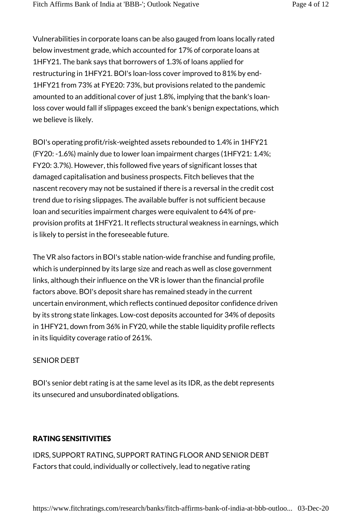Vulnerabilities in corporate loans can be also gauged from loans locally rated below investment grade, which accounted for 17% of corporate loans at 1HFY21. The bank says that borrowers of 1.3% of loans applied for restructuring in 1HFY21. BOI's loan-loss cover improved to 81% by end-1HFY21 from 73% at FYE20: 73%, but provisions related to the pandemic amounted to an additional cover of just 1.8%, implying that the bank's loanloss cover would fall if slippages exceed the bank's benign expectations, which we believe is likely.

BOI's operating profit/risk-weighted assets rebounded to 1.4% in 1HFY21 (FY20: -1.6%) mainly due to lower loan impairment charges (1HFY21: 1.4%; FY20: 3.7%). However, this followed five years of significant losses that damaged capitalisation and business prospects. Fitch believes that the nascent recovery may not be sustained if there is a reversal in the credit cost trend due to rising slippages. The available buffer is not sufficient because loan and securities impairment charges were equivalent to 64% of preprovision profits at 1HFY21. It reflects structural weakness in earnings, which is likely to persist in the foreseeable future.

The VR also factors in BOI's stable nation-wide franchise and funding profile, which is underpinned by its large size and reach as well as close government links, although their influence on the VR is lower than the financial profile factors above. BOI's deposit share has remained steady in the current uncertain environment, which reflects continued depositor confidence driven by its strong state linkages. Low-cost deposits accounted for 34% of deposits in 1HFY21, down from 36% in FY20, while the stable liquidity profile reflects in its liquidity coverage ratio of 261%.

#### SENIOR DEBT

BOI's senior debt rating is at the same level as its IDR, as the debt represents its unsecured and unsubordinated obligations.

# RATING SENSITIVITIES

IDRS, SUPPORT RATING, SUPPORT RATING FLOOR AND SENIOR DEBT Factors that could, individually or collectively, lead to negative rating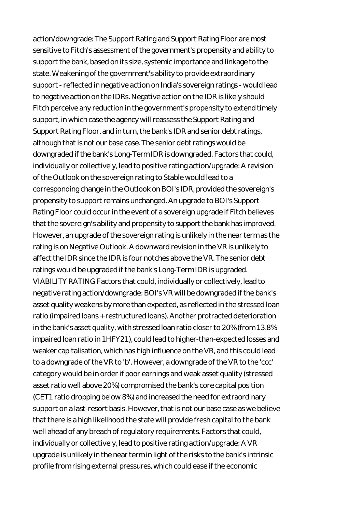action/downgrade: The Support Rating and Support Rating Floor are most sensitive to Fitch's assessment of the government's propensity and ability to support the bank, based on its size, systemic importance and linkage to the state. Weakening of the government's ability to provide extraordinary support - reflected in negative action on India's sovereign ratings - would lead to negative action on the IDRs. Negative action on the IDR is likely should Fitch perceive any reduction in the government's propensity to extend timely support, in which case the agency will reassess the Support Rating and Support Rating Floor, and in turn, the bank's IDR and senior debt ratings, although that is not our base case. The senior debt ratings would be downgraded if the bank's Long-Term IDR is downgraded. Factors that could, individually or collectively, lead to positive rating action/upgrade: A revision of the Outlook on the sovereign rating to Stable would lead to a corresponding change in the Outlook on BOI's IDR, provided the sovereign's propensity to support remains unchanged. An upgrade to BOI's Support Rating Floor could occur in the event of a sovereign upgrade if Fitch believes that the sovereign's ability and propensity to support the bank has improved. However, an upgrade of the sovereign rating is unlikely in the near term as the rating is on Negative Outlook. A downward revision in the VR is unlikely to affect the IDR since the IDR is four notches above the VR. The senior debt ratings would be upgraded if the bank's Long-Term IDR is upgraded. VIABILITY RATING Factors that could, individually or collectively, lead to negative rating action/downgrade: BOI's VR will be downgraded if the bank's asset quality weakens by more than expected, as reflected in the stressed loan ratio (impaired loans + restructured loans). Another protracted deterioration in the bank's asset quality, with stressed loan ratio closer to 20% (from 13.8% impaired loan ratio in 1HFY21), could lead to higher-than-expected losses and weaker capitalisation, which has high influence on the VR, and this could lead to a downgrade of the VR to 'b'. However, a downgrade of the VR to the 'ccc' category would be in order if poor earnings and weak asset quality (stressed asset ratio well above 20%) compromised the bank's core capital position (CET1 ratio dropping below 8%) and increased the need for extraordinary support on a last-resort basis. However, that is not our base case as we believe that there is a high likelihood the state will provide fresh capital to the bank well ahead of any breach of regulatory requirements. Factors that could, individually or collectively, lead to positive rating action/upgrade: A VR upgrade is unlikely in the near term in light of the risks to the bank's intrinsic profile from rising external pressures, which could ease if the economic